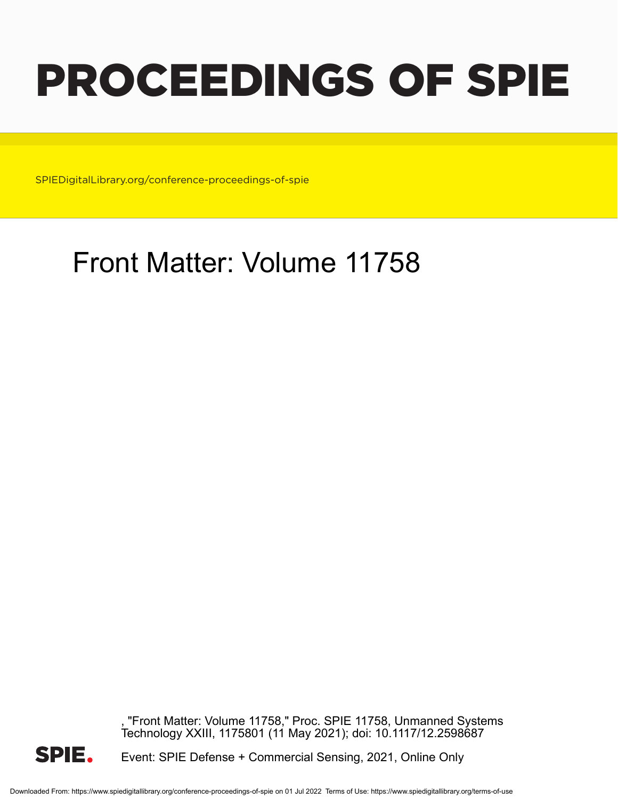# PROCEEDINGS OF SPIE

SPIEDigitalLibrary.org/conference-proceedings-of-spie

### Front Matter: Volume 11758

"Front Matter: Volume 11758," Proc. SPIE 11758, Unmanned Systems Technology XXIII, 1175801 (11 May 2021); doi: 10.1117/12.2598687



Event: SPIE Defense + Commercial Sensing, 2021, Online Only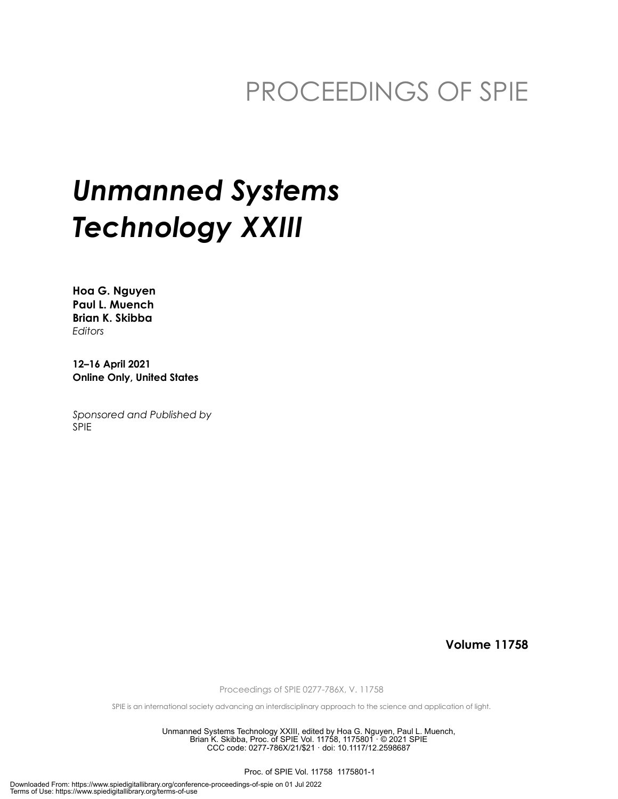### PROCEEDINGS OF SPIE

## *Unmanned Systems Technology XXIII*

**Hoa G. Nguyen Paul L. Muench Brian K. Skibba** *Editors*

**12–16 April 2021 Online Only, United States**

*Sponsored and Published by* SPIE

**Volume 11758**

Proceedings of SPIE 0277-786X, V. 11758

SPIE is an international society advancing an interdisciplinary approach to the science and application of light.

Unmanned Systems Technology XXIII, edited by Hoa G. Nguyen, Paul L. Muench, Brian K. Skibba, Proc. of SPIE Vol. 11758, 1175801 · © 2021 SPIE CCC code: 0277-786X/21/\$21 · doi: 10.1117/12.2598687

Proc. of SPIE Vol. 11758 1175801-1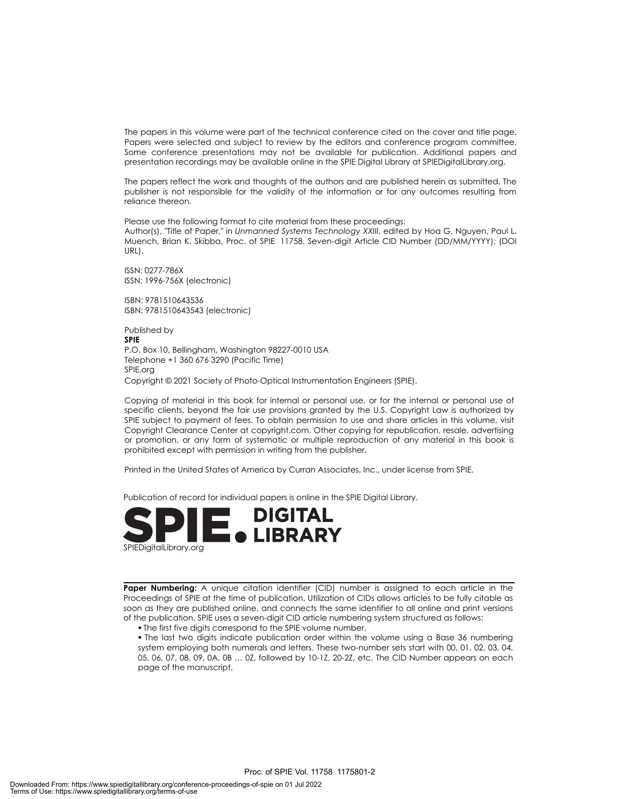The papers in this volume were part of the technical conference cited on the cover and title page. Papers were selected and subject to review by the editors and conference program committee. Some conference presentations may not be available for publication. Additional papers and presentation recordings may be available online in the SPIE Digital Library at SPIEDigitalLibrary.org.

The papers reflect the work and thoughts of the authors and are published herein as submitted. The publisher is not responsible for the validity of the information or for any outcomes resulting from reliance thereon.

Please use the following format to cite material from these proceedings: Author(s), "Title of Paper," in *Unmanned Systems Technology XXIII*, edited by Hoa G. Nguyen, Paul L. Muench, Brian K. Skibba, Proc. of SPIE 11758, Seven-digit Article CID Number (DD/MM/YYYY); (DOI URL).

ISSN: 0277-786X ISSN: 1996-756X (electronic)

ISBN: 9781510643536 ISBN: 9781510643543 (electronic)

Published by **SPIE** P.O. Box 10, Bellingham, Washington 98227-0010 USA Telephone +1 360 676 3290 (Pacific Time) SPIE.org Copyright © 2021 Society of Photo-Optical Instrumentation Engineers (SPIE).

Copying of material in this book for internal or personal use, or for the internal or personal use of specific clients, beyond the fair use provisions granted by the U.S. Copyright Law is authorized by SPIE subject to payment of fees. To obtain permission to use and share articles in this volume, visit Copyright Clearance Center at copyright.com. Other copying for republication, resale, advertising or promotion, or any form of systematic or multiple reproduction of any material in this book is prohibited except with permission in writing from the publisher.

Printed in the United States of America by Curran Associates, Inc., under license from SPIE.

Publication of record for individual papers is online in the SPIE Digital Library.



Paper Numbering: A unique citation identifier (CID) number is assigned to each article in the Proceedings of SPIE at the time of publication. Utilization of CIDs allows articles to be fully citable as soon as they are published online, and connects the same identifier to all online and print versions of the publication. SPIE uses a seven-digit CID article numbering system structured as follows:

The first five digits correspond to the SPIE volume number.

 The last two digits indicate publication order within the volume using a Base 36 numbering system employing both numerals and letters. These two-number sets start with 00, 01, 02, 03, 04, 05, 06, 07, 08, 09, 0A, 0B … 0Z, followed by 10-1Z, 20-2Z, etc. The CID Number appears on each page of the manuscript.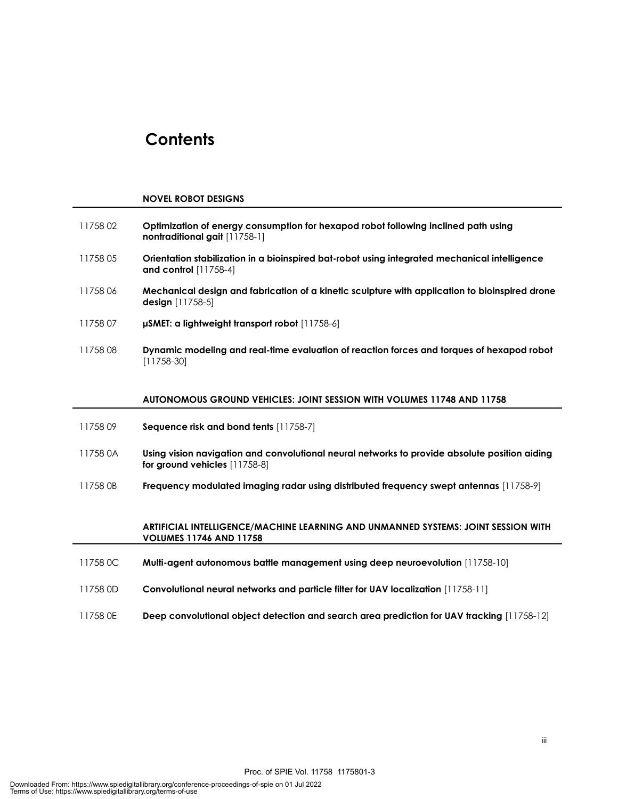### **Contents**

#### **NOVEL ROBOT DESIGNS**

| 1175802  | Optimization of energy consumption for hexapod robot following inclined path using<br>nontraditional gait [11758-1]            |
|----------|--------------------------------------------------------------------------------------------------------------------------------|
| 1175805  | Orientation stabilization in a bioinspired bat-robot using integrated mechanical intelligence<br>and control [11758-4]         |
| 1175806  | Mechanical design and fabrication of a kinetic sculpture with application to bioinspired drone<br><b>design</b> [11758-5]      |
| 1175807  | µSMET: a lightweight transport robot [11758-6]                                                                                 |
| 1175808  | Dynamic modeling and real-time evaluation of reaction forces and torques of hexapod robot<br>$[11758-30]$                      |
|          | AUTONOMOUS GROUND VEHICLES: JOINT SESSION WITH VOLUMES 11748 AND 11758                                                         |
| 1175809  | Sequence risk and bond tents [11758-7]                                                                                         |
|          |                                                                                                                                |
| 11758 0A | Using vision navigation and convolutional neural networks to provide absolute position aiding<br>for ground vehicles [11758-8] |
| 11758 OB | Frequency modulated imaging radar using distributed frequency swept antennas [11758-9]                                         |
|          | ARTIFICIAL INTELLIGENCE/MACHINE LEARNING AND UNMANNED SYSTEMS: JOINT SESSION WITH<br><b>VOLUMES 11746 AND 11758</b>            |
| 11758 OC | Multi-agent autonomous battle management using deep neuroevolution [11758-10]                                                  |

11758 0E **Deep convolutional object detection and search area prediction for UAV tracking** [11758-12]

Proc. of SPIE Vol. 11758 1175801-3